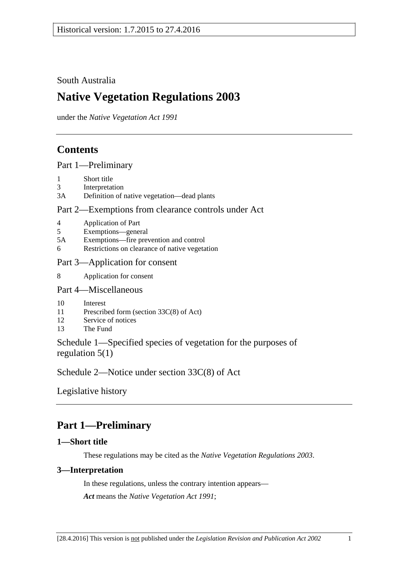South Australia

# **Native Vegetation Regulations 2003**

under the *Native Vegetation Act 1991*

# **Contents**

[Part 1—Preliminary](#page-0-0)

- 1 [Short title](#page-0-1)
- 3 [Interpretation](#page-0-2)
- 3A [Definition of native vegetation—dead plants](#page-1-0)

## [Part 2—Exemptions from clearance controls under Act](#page-2-0)

- 4 [Application of Part](#page-2-1)
- 5 [Exemptions—general](#page-2-2)
- 5A [Exemptions—fire prevention and control](#page-21-0)
- 6 [Restrictions on clearance of native vegetation](#page-24-0)
- [Part 3—Application for consent](#page-25-0)
- 8 [Application for consent](#page-25-1)
- [Part 4—Miscellaneous](#page-25-2)
- 10 [Interest](#page-25-3)
- 11 [Prescribed form \(section 33C\(8\) of Act\)](#page-26-0)
- 12 [Service of notices](#page-26-1)
- 13 [The Fund](#page-26-2)

[Schedule 1—Specified species of vegetation for the purposes of](#page-26-3)  [regulation](#page-26-3) 5(1)

[Schedule 2—Notice under section 33C\(8\) of Act](#page-27-0)

[Legislative history](#page-28-0)

# <span id="page-0-0"></span>**Part 1—Preliminary**

## <span id="page-0-1"></span>**1—Short title**

These regulations may be cited as the *Native Vegetation Regulations 2003*.

## <span id="page-0-2"></span>**3—Interpretation**

In these regulations, unless the contrary intention appears— *Act* means the *[Native Vegetation Act](http://www.legislation.sa.gov.au/index.aspx?action=legref&type=act&legtitle=Native%20Vegetation%20Act%201991) 1991*;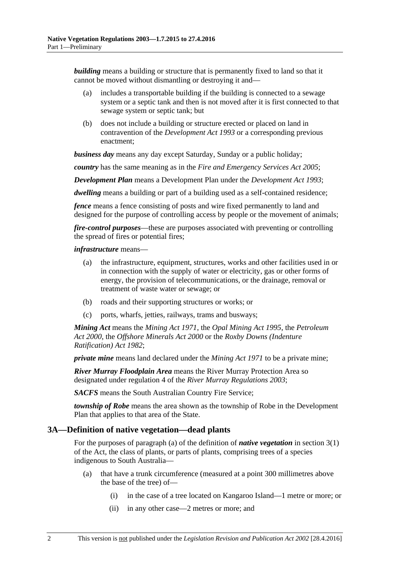*building* means a building or structure that is permanently fixed to land so that it cannot be moved without dismantling or destroying it and—

- (a) includes a transportable building if the building is connected to a sewage system or a septic tank and then is not moved after it is first connected to that sewage system or septic tank; but
- (b) does not include a building or structure erected or placed on land in contravention of the *[Development Act](http://www.legislation.sa.gov.au/index.aspx?action=legref&type=act&legtitle=Development%20Act%201993) 1993* or a corresponding previous enactment;

*business day* means any day except Saturday, Sunday or a public holiday;

*country* has the same meaning as in the *[Fire and Emergency Services Act](http://www.legislation.sa.gov.au/index.aspx?action=legref&type=act&legtitle=Fire%20and%20Emergency%20Services%20Act%202005) 2005*;

*Development Plan* means a Development Plan under the *[Development Act](http://www.legislation.sa.gov.au/index.aspx?action=legref&type=act&legtitle=Development%20Act%201993) 1993*;

*dwelling* means a building or part of a building used as a self-contained residence;

*fence* means a fence consisting of posts and wire fixed permanently to land and designed for the purpose of controlling access by people or the movement of animals;

*fire-control purposes*—these are purposes associated with preventing or controlling the spread of fires or potential fires;

#### *infrastructure* means—

- (a) the infrastructure, equipment, structures, works and other facilities used in or in connection with the supply of water or electricity, gas or other forms of energy, the provision of telecommunications, or the drainage, removal or treatment of waste water or sewage; or
- (b) roads and their supporting structures or works; or
- (c) ports, wharfs, jetties, railways, trams and busways;

*Mining Act* means the *[Mining Act](http://www.legislation.sa.gov.au/index.aspx?action=legref&type=act&legtitle=Mining%20Act%201971) 1971*, the *[Opal Mining Act](http://www.legislation.sa.gov.au/index.aspx?action=legref&type=act&legtitle=Opal%20Mining%20Act%201995) 1995*, the *[Petroleum](http://www.legislation.sa.gov.au/index.aspx?action=legref&type=act&legtitle=Petroleum%20Act%202000)  Act [2000](http://www.legislation.sa.gov.au/index.aspx?action=legref&type=act&legtitle=Petroleum%20Act%202000)*, the *[Offshore Minerals Act](http://www.legislation.sa.gov.au/index.aspx?action=legref&type=act&legtitle=Offshore%20Minerals%20Act%202000) 2000* or the *[Roxby Downs \(Indenture](http://www.legislation.sa.gov.au/index.aspx?action=legref&type=act&legtitle=Roxby%20Downs%20(Indenture%20Ratification)%20Act%201982)  [Ratification\) Act](http://www.legislation.sa.gov.au/index.aspx?action=legref&type=act&legtitle=Roxby%20Downs%20(Indenture%20Ratification)%20Act%201982) 1982*;

*private mine* means land declared under the *[Mining Act](http://www.legislation.sa.gov.au/index.aspx?action=legref&type=act&legtitle=Mining%20Act%201971) 1971* to be a private mine;

*River Murray Floodplain Area* means the River Murray Protection Area so designated under regulation 4 of the *[River Murray Regulations](http://www.legislation.sa.gov.au/index.aspx?action=legref&type=subordleg&legtitle=River%20Murray%20Regulations%202003) 2003*;

*SACFS* means the South Australian Country Fire Service;

*township of Robe* means the area shown as the township of Robe in the Development Plan that applies to that area of the State.

### <span id="page-1-0"></span>**3A—Definition of native vegetation—dead plants**

For the purposes of paragraph (a) of the definition of *native vegetation* in section 3(1) of the Act, the class of plants, or parts of plants, comprising trees of a species indigenous to South Australia—

- (a) that have a trunk circumference (measured at a point 300 millimetres above the base of the tree) of—
	- (i) in the case of a tree located on Kangaroo Island—1 metre or more; or
	- (ii) in any other case—2 metres or more; and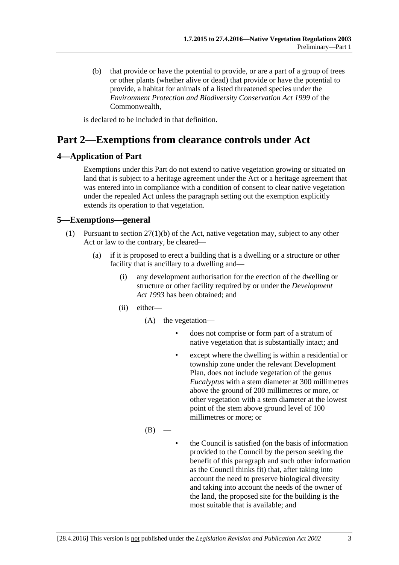(b) that provide or have the potential to provide, or are a part of a group of trees or other plants (whether alive or dead) that provide or have the potential to provide, a habitat for animals of a listed threatened species under the *Environment Protection and Biodiversity Conservation Act 1999* of the Commonwealth,

is declared to be included in that definition.

# <span id="page-2-0"></span>**Part 2—Exemptions from clearance controls under Act**

### <span id="page-2-1"></span>**4—Application of Part**

Exemptions under this Part do not extend to native vegetation growing or situated on land that is subject to a heritage agreement under the Act or a heritage agreement that was entered into in compliance with a condition of consent to clear native vegetation under the repealed Act unless the paragraph setting out the exemption explicitly extends its operation to that vegetation.

### <span id="page-2-3"></span><span id="page-2-2"></span>**5—Exemptions—general**

- <span id="page-2-4"></span>(1) Pursuant to section 27(1)(b) of the Act, native vegetation may, subject to any other Act or law to the contrary, be cleared—
	- (a) if it is proposed to erect a building that is a dwelling or a structure or other facility that is ancillary to a dwelling and—
		- (i) any development authorisation for the erection of the dwelling or structure or other facility required by or under the *[Development](http://www.legislation.sa.gov.au/index.aspx?action=legref&type=act&legtitle=Development%20Act%201993)  Act [1993](http://www.legislation.sa.gov.au/index.aspx?action=legref&type=act&legtitle=Development%20Act%201993)* has been obtained; and
		- (ii) either—
			- (A) the vegetation
				- does not comprise or form part of a stratum of native vegetation that is substantially intact; and
				- except where the dwelling is within a residential or township zone under the relevant Development Plan, does not include vegetation of the genus *Eucalyptus* with a stem diameter at 300 millimetres above the ground of 200 millimetres or more, or other vegetation with a stem diameter at the lowest point of the stem above ground level of 100 millimetres or more; or
			- $(B)$
- the Council is satisfied (on the basis of information provided to the Council by the person seeking the benefit of this paragraph and such other information as the Council thinks fit) that, after taking into account the need to preserve biological diversity and taking into account the needs of the owner of the land, the proposed site for the building is the most suitable that is available; and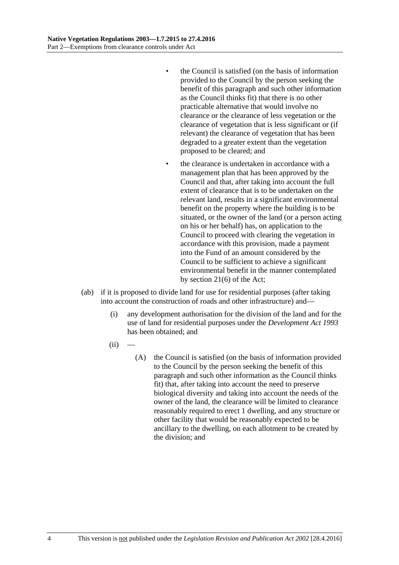- the Council is satisfied (on the basis of information provided to the Council by the person seeking the benefit of this paragraph and such other information as the Council thinks fit) that there is no other practicable alternative that would involve no clearance or the clearance of less vegetation or the clearance of vegetation that is less significant or (if relevant) the clearance of vegetation that has been degraded to a greater extent than the vegetation proposed to be cleared; and
- the clearance is undertaken in accordance with a management plan that has been approved by the Council and that, after taking into account the full extent of clearance that is to be undertaken on the relevant land, results in a significant environmental benefit on the property where the building is to be situated, or the owner of the land (or a person acting on his or her behalf) has, on application to the Council to proceed with clearing the vegetation in accordance with this provision, made a payment into the Fund of an amount considered by the Council to be sufficient to achieve a significant environmental benefit in the manner contemplated by section 21(6) of the Act;
- <span id="page-3-0"></span>(ab) if it is proposed to divide land for use for residential purposes (after taking into account the construction of roads and other infrastructure) and—
	- (i) any development authorisation for the division of the land and for the use of land for residential purposes under the *[Development Act](http://www.legislation.sa.gov.au/index.aspx?action=legref&type=act&legtitle=Development%20Act%201993) 1993* has been obtained; and
	- $(ii)$ 
		- (A) the Council is satisfied (on the basis of information provided to the Council by the person seeking the benefit of this paragraph and such other information as the Council thinks fit) that, after taking into account the need to preserve biological diversity and taking into account the needs of the owner of the land, the clearance will be limited to clearance reasonably required to erect 1 dwelling, and any structure or other facility that would be reasonably expected to be ancillary to the dwelling, on each allotment to be created by the division; and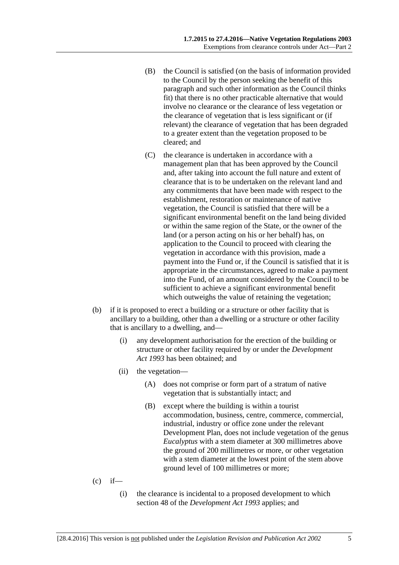- (B) the Council is satisfied (on the basis of information provided to the Council by the person seeking the benefit of this paragraph and such other information as the Council thinks fit) that there is no other practicable alternative that would involve no clearance or the clearance of less vegetation or the clearance of vegetation that is less significant or (if relevant) the clearance of vegetation that has been degraded to a greater extent than the vegetation proposed to be cleared; and
- (C) the clearance is undertaken in accordance with a management plan that has been approved by the Council and, after taking into account the full nature and extent of clearance that is to be undertaken on the relevant land and any commitments that have been made with respect to the establishment, restoration or maintenance of native vegetation, the Council is satisfied that there will be a significant environmental benefit on the land being divided or within the same region of the State, or the owner of the land (or a person acting on his or her behalf) has, on application to the Council to proceed with clearing the vegetation in accordance with this provision, made a payment into the Fund or, if the Council is satisfied that it is appropriate in the circumstances, agreed to make a payment into the Fund, of an amount considered by the Council to be sufficient to achieve a significant environmental benefit which outweighs the value of retaining the vegetation;
- <span id="page-4-0"></span>(b) if it is proposed to erect a building or a structure or other facility that is ancillary to a building, other than a dwelling or a structure or other facility that is ancillary to a dwelling, and—
	- (i) any development authorisation for the erection of the building or structure or other facility required by or under the *[Development](http://www.legislation.sa.gov.au/index.aspx?action=legref&type=act&legtitle=Development%20Act%201993)  Act [1993](http://www.legislation.sa.gov.au/index.aspx?action=legref&type=act&legtitle=Development%20Act%201993)* has been obtained; and
	- (ii) the vegetation—
		- (A) does not comprise or form part of a stratum of native vegetation that is substantially intact; and
		- (B) except where the building is within a tourist accommodation, business, centre, commerce, commercial, industrial, industry or office zone under the relevant Development Plan, does not include vegetation of the genus *Eucalyptus* with a stem diameter at 300 millimetres above the ground of 200 millimetres or more, or other vegetation with a stem diameter at the lowest point of the stem above ground level of 100 millimetres or more;
- $(c)$  if—
	- (i) the clearance is incidental to a proposed development to which section 48 of the *[Development Act](http://www.legislation.sa.gov.au/index.aspx?action=legref&type=act&legtitle=Development%20Act%201993) 1993* applies; and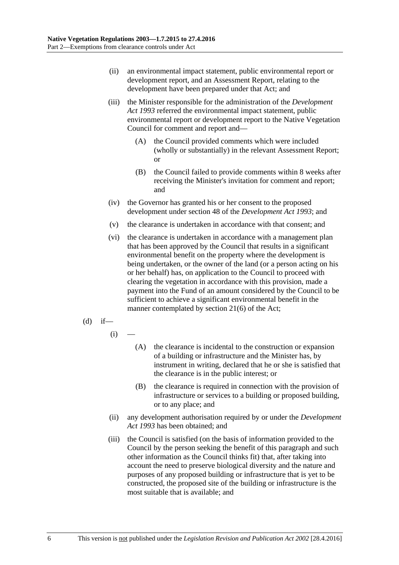- (ii) an environmental impact statement, public environmental report or development report, and an Assessment Report, relating to the development have been prepared under that Act; and
- (iii) the Minister responsible for the administration of the *[Development](http://www.legislation.sa.gov.au/index.aspx?action=legref&type=act&legtitle=Development%20Act%201993)  Act [1993](http://www.legislation.sa.gov.au/index.aspx?action=legref&type=act&legtitle=Development%20Act%201993)* referred the environmental impact statement, public environmental report or development report to the Native Vegetation Council for comment and report and—
	- (A) the Council provided comments which were included (wholly or substantially) in the relevant Assessment Report; or
	- (B) the Council failed to provide comments within 8 weeks after receiving the Minister's invitation for comment and report; and
- (iv) the Governor has granted his or her consent to the proposed development under section 48 of the *[Development Act](http://www.legislation.sa.gov.au/index.aspx?action=legref&type=act&legtitle=Development%20Act%201993) 1993*; and
- (v) the clearance is undertaken in accordance with that consent; and
- (vi) the clearance is undertaken in accordance with a management plan that has been approved by the Council that results in a significant environmental benefit on the property where the development is being undertaken, or the owner of the land (or a person acting on his or her behalf) has, on application to the Council to proceed with clearing the vegetation in accordance with this provision, made a payment into the Fund of an amount considered by the Council to be sufficient to achieve a significant environmental benefit in the manner contemplated by section 21(6) of the Act;
- <span id="page-5-0"></span> $(d)$  if—
	- $(i)$
- (A) the clearance is incidental to the construction or expansion of a building or infrastructure and the Minister has, by instrument in writing, declared that he or she is satisfied that the clearance is in the public interest; or
- (B) the clearance is required in connection with the provision of infrastructure or services to a building or proposed building, or to any place; and
- (ii) any development authorisation required by or under the *[Development](http://www.legislation.sa.gov.au/index.aspx?action=legref&type=act&legtitle=Development%20Act%201993)  Act [1993](http://www.legislation.sa.gov.au/index.aspx?action=legref&type=act&legtitle=Development%20Act%201993)* has been obtained; and
- (iii) the Council is satisfied (on the basis of information provided to the Council by the person seeking the benefit of this paragraph and such other information as the Council thinks fit) that, after taking into account the need to preserve biological diversity and the nature and purposes of any proposed building or infrastructure that is yet to be constructed, the proposed site of the building or infrastructure is the most suitable that is available; and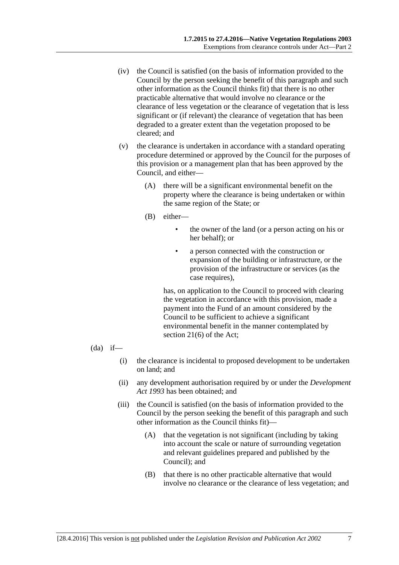- (iv) the Council is satisfied (on the basis of information provided to the Council by the person seeking the benefit of this paragraph and such other information as the Council thinks fit) that there is no other practicable alternative that would involve no clearance or the clearance of less vegetation or the clearance of vegetation that is less significant or (if relevant) the clearance of vegetation that has been degraded to a greater extent than the vegetation proposed to be cleared; and
- (v) the clearance is undertaken in accordance with a standard operating procedure determined or approved by the Council for the purposes of this provision or a management plan that has been approved by the Council, and either—
	- (A) there will be a significant environmental benefit on the property where the clearance is being undertaken or within the same region of the State; or
	- (B) either—
		- the owner of the land (or a person acting on his or her behalf); or
		- a person connected with the construction or expansion of the building or infrastructure, or the provision of the infrastructure or services (as the case requires),

has, on application to the Council to proceed with clearing the vegetation in accordance with this provision, made a payment into the Fund of an amount considered by the Council to be sufficient to achieve a significant environmental benefit in the manner contemplated by section 21(6) of the Act;

- <span id="page-6-0"></span> $(da)$  if—
	- (i) the clearance is incidental to proposed development to be undertaken on land; and
	- (ii) any development authorisation required by or under the *[Development](http://www.legislation.sa.gov.au/index.aspx?action=legref&type=act&legtitle=Development%20Act%201993)  Act [1993](http://www.legislation.sa.gov.au/index.aspx?action=legref&type=act&legtitle=Development%20Act%201993)* has been obtained; and
	- (iii) the Council is satisfied (on the basis of information provided to the Council by the person seeking the benefit of this paragraph and such other information as the Council thinks fit)—
		- (A) that the vegetation is not significant (including by taking into account the scale or nature of surrounding vegetation and relevant guidelines prepared and published by the Council); and
		- (B) that there is no other practicable alternative that would involve no clearance or the clearance of less vegetation; and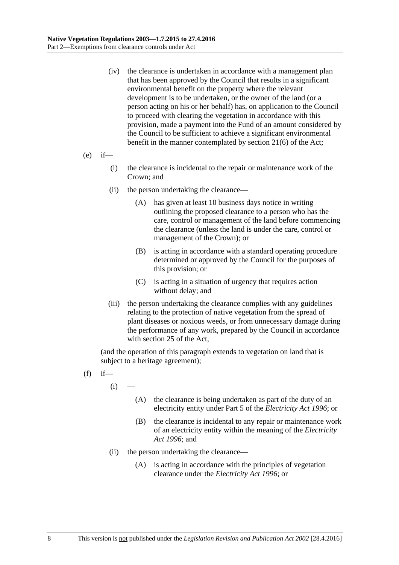- (iv) the clearance is undertaken in accordance with a management plan that has been approved by the Council that results in a significant environmental benefit on the property where the relevant development is to be undertaken, or the owner of the land (or a person acting on his or her behalf) has, on application to the Council to proceed with clearing the vegetation in accordance with this provision, made a payment into the Fund of an amount considered by the Council to be sufficient to achieve a significant environmental benefit in the manner contemplated by section 21(6) of the Act;
- $(e)$  if—
	- (i) the clearance is incidental to the repair or maintenance work of the Crown; and
	- (ii) the person undertaking the clearance—
		- (A) has given at least 10 business days notice in writing outlining the proposed clearance to a person who has the care, control or management of the land before commencing the clearance (unless the land is under the care, control or management of the Crown); or
		- (B) is acting in accordance with a standard operating procedure determined or approved by the Council for the purposes of this provision; or
		- (C) is acting in a situation of urgency that requires action without delay; and
	- (iii) the person undertaking the clearance complies with any guidelines relating to the protection of native vegetation from the spread of plant diseases or noxious weeds, or from unnecessary damage during the performance of any work, prepared by the Council in accordance with section 25 of the Act,

(and the operation of this paragraph extends to vegetation on land that is subject to a heritage agreement);

- $(f)$  if
	- $(i)$
- (A) the clearance is being undertaken as part of the duty of an electricity entity under Part 5 of the *[Electricity Act](http://www.legislation.sa.gov.au/index.aspx?action=legref&type=act&legtitle=Electricity%20Act%201996) 1996*; or
- (B) the clearance is incidental to any repair or maintenance work of an electricity entity within the meaning of the *[Electricity](http://www.legislation.sa.gov.au/index.aspx?action=legref&type=act&legtitle=Electricity%20Act%201996)  Act [1996](http://www.legislation.sa.gov.au/index.aspx?action=legref&type=act&legtitle=Electricity%20Act%201996)*; and
- (ii) the person undertaking the clearance—
	- (A) is acting in accordance with the principles of vegetation clearance under the *[Electricity Act](http://www.legislation.sa.gov.au/index.aspx?action=legref&type=act&legtitle=Electricity%20Act%201996) 1996*; or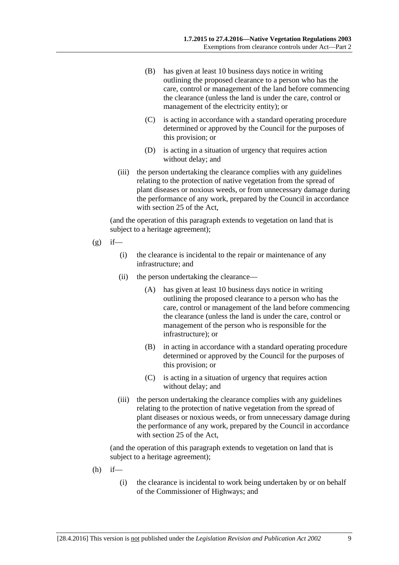- (B) has given at least 10 business days notice in writing outlining the proposed clearance to a person who has the care, control or management of the land before commencing the clearance (unless the land is under the care, control or management of the electricity entity); or
- (C) is acting in accordance with a standard operating procedure determined or approved by the Council for the purposes of this provision; or
- (D) is acting in a situation of urgency that requires action without delay; and
- (iii) the person undertaking the clearance complies with any guidelines relating to the protection of native vegetation from the spread of plant diseases or noxious weeds, or from unnecessary damage during the performance of any work, prepared by the Council in accordance with section 25 of the Act,

(and the operation of this paragraph extends to vegetation on land that is subject to a heritage agreement);

- $(g)$  if—
	- (i) the clearance is incidental to the repair or maintenance of any infrastructure; and
	- (ii) the person undertaking the clearance—
		- (A) has given at least 10 business days notice in writing outlining the proposed clearance to a person who has the care, control or management of the land before commencing the clearance (unless the land is under the care, control or management of the person who is responsible for the infrastructure); or
		- (B) in acting in accordance with a standard operating procedure determined or approved by the Council for the purposes of this provision; or
		- (C) is acting in a situation of urgency that requires action without delay; and
	- (iii) the person undertaking the clearance complies with any guidelines relating to the protection of native vegetation from the spread of plant diseases or noxious weeds, or from unnecessary damage during the performance of any work, prepared by the Council in accordance with section 25 of the Act,

(and the operation of this paragraph extends to vegetation on land that is subject to a heritage agreement);

- $(h)$  if—
	- (i) the clearance is incidental to work being undertaken by or on behalf of the Commissioner of Highways; and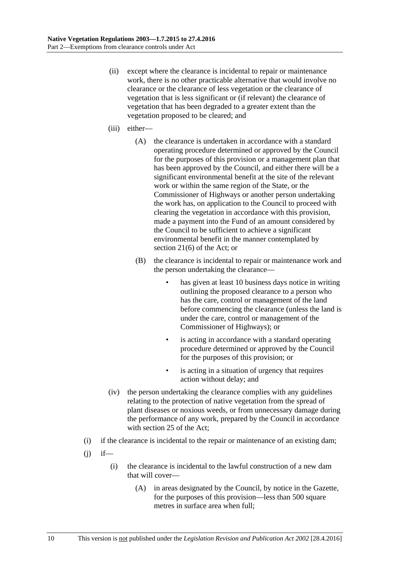- (ii) except where the clearance is incidental to repair or maintenance work, there is no other practicable alternative that would involve no clearance or the clearance of less vegetation or the clearance of vegetation that is less significant or (if relevant) the clearance of vegetation that has been degraded to a greater extent than the vegetation proposed to be cleared; and
- (iii) either—
	- (A) the clearance is undertaken in accordance with a standard operating procedure determined or approved by the Council for the purposes of this provision or a management plan that has been approved by the Council, and either there will be a significant environmental benefit at the site of the relevant work or within the same region of the State, or the Commissioner of Highways or another person undertaking the work has, on application to the Council to proceed with clearing the vegetation in accordance with this provision, made a payment into the Fund of an amount considered by the Council to be sufficient to achieve a significant environmental benefit in the manner contemplated by section 21(6) of the Act; or
	- (B) the clearance is incidental to repair or maintenance work and the person undertaking the clearance
		- has given at least 10 business days notice in writing outlining the proposed clearance to a person who has the care, control or management of the land before commencing the clearance (unless the land is under the care, control or management of the Commissioner of Highways); or
		- is acting in accordance with a standard operating procedure determined or approved by the Council for the purposes of this provision; or
		- is acting in a situation of urgency that requires action without delay; and
- (iv) the person undertaking the clearance complies with any guidelines relating to the protection of native vegetation from the spread of plant diseases or noxious weeds, or from unnecessary damage during the performance of any work, prepared by the Council in accordance with section 25 of the Act;
- (i) if the clearance is incidental to the repair or maintenance of an existing dam;
- <span id="page-9-1"></span><span id="page-9-0"></span> $(i)$  if—
	- (i) the clearance is incidental to the lawful construction of a new dam that will cover—
		- (A) in areas designated by the Council, by notice in the Gazette, for the purposes of this provision—less than 500 square metres in surface area when full;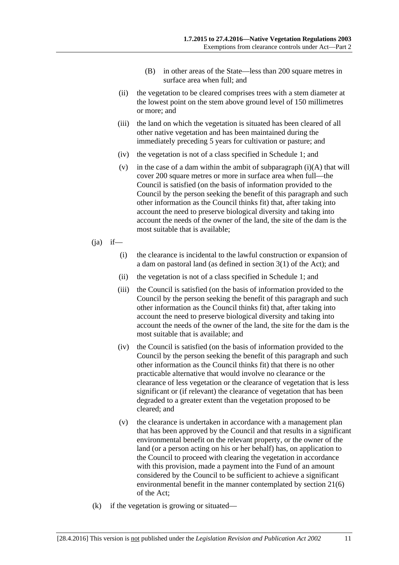- (B) in other areas of the State—less than 200 square metres in surface area when full; and
- (ii) the vegetation to be cleared comprises trees with a stem diameter at the lowest point on the stem above ground level of 150 millimetres or more; and
- (iii) the land on which the vegetation is situated has been cleared of all other native vegetation and has been maintained during the immediately preceding 5 years for cultivation or pasture; and
- (iv) the vegetation is not of a class specified in [Schedule 1;](#page-26-3) and
- (v) in the case of a dam within the ambit of [subparagraph](#page-9-0)  $(i)(A)$  that will cover 200 square metres or more in surface area when full—the Council is satisfied (on the basis of information provided to the Council by the person seeking the benefit of this paragraph and such other information as the Council thinks fit) that, after taking into account the need to preserve biological diversity and taking into account the needs of the owner of the land, the site of the dam is the most suitable that is available;
- $(ia)$  if—
	- (i) the clearance is incidental to the lawful construction or expansion of a dam on pastoral land (as defined in section 3(1) of the Act); and
	- (ii) the vegetation is not of a class specified in [Schedule 1;](#page-26-3) and
	- (iii) the Council is satisfied (on the basis of information provided to the Council by the person seeking the benefit of this paragraph and such other information as the Council thinks fit) that, after taking into account the need to preserve biological diversity and taking into account the needs of the owner of the land, the site for the dam is the most suitable that is available; and
	- (iv) the Council is satisfied (on the basis of information provided to the Council by the person seeking the benefit of this paragraph and such other information as the Council thinks fit) that there is no other practicable alternative that would involve no clearance or the clearance of less vegetation or the clearance of vegetation that is less significant or (if relevant) the clearance of vegetation that has been degraded to a greater extent than the vegetation proposed to be cleared; and
	- (v) the clearance is undertaken in accordance with a management plan that has been approved by the Council and that results in a significant environmental benefit on the relevant property, or the owner of the land (or a person acting on his or her behalf) has, on application to the Council to proceed with clearing the vegetation in accordance with this provision, made a payment into the Fund of an amount considered by the Council to be sufficient to achieve a significant environmental benefit in the manner contemplated by section 21(6) of the Act;
- <span id="page-10-0"></span>(k) if the vegetation is growing or situated—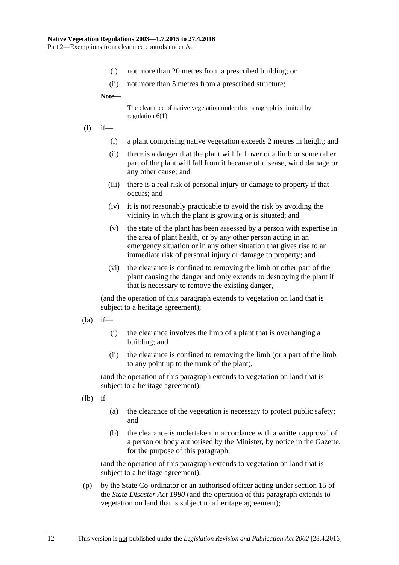- (i) not more than 20 metres from a prescribed building; or
- (ii) not more than 5 metres from a prescribed structure;

**Note—**

The clearance of native vegetation under this paragraph is limited by regulation 6(1).

- (l) if—
	- (i) a plant comprising native vegetation exceeds 2 metres in height; and
	- (ii) there is a danger that the plant will fall over or a limb or some other part of the plant will fall from it because of disease, wind damage or any other cause; and
	- (iii) there is a real risk of personal injury or damage to property if that occurs; and
	- (iv) it is not reasonably practicable to avoid the risk by avoiding the vicinity in which the plant is growing or is situated; and
	- (v) the state of the plant has been assessed by a person with expertise in the area of plant health, or by any other person acting in an emergency situation or in any other situation that gives rise to an immediate risk of personal injury or damage to property; and
	- (vi) the clearance is confined to removing the limb or other part of the plant causing the danger and only extends to destroying the plant if that is necessary to remove the existing danger,

(and the operation of this paragraph extends to vegetation on land that is subject to a heritage agreement);

- $(la)$  if—
	- (i) the clearance involves the limb of a plant that is overhanging a building; and
	- (ii) the clearance is confined to removing the limb (or a part of the limb to any point up to the trunk of the plant),

(and the operation of this paragraph extends to vegetation on land that is subject to a heritage agreement);

- <span id="page-11-0"></span>(lb) if—
	- (a) the clearance of the vegetation is necessary to protect public safety; and
	- (b) the clearance is undertaken in accordance with a written approval of a person or body authorised by the Minister, by notice in the Gazette, for the purpose of this paragraph,

(and the operation of this paragraph extends to vegetation on land that is subject to a heritage agreement);

(p) by the State Co-ordinator or an authorised officer acting under section 15 of the *[State Disaster Act](http://www.legislation.sa.gov.au/index.aspx?action=legref&type=act&legtitle=State%20Disaster%20Act%201980) 1980* (and the operation of this paragraph extends to vegetation on land that is subject to a heritage agreement);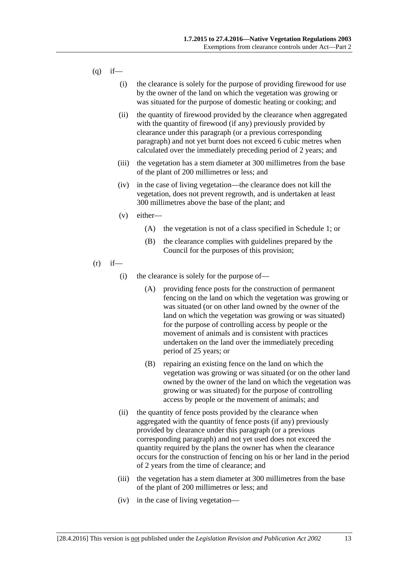- <span id="page-12-0"></span> $(q)$  if—
	- (i) the clearance is solely for the purpose of providing firewood for use by the owner of the land on which the vegetation was growing or was situated for the purpose of domestic heating or cooking; and
	- (ii) the quantity of firewood provided by the clearance when aggregated with the quantity of firewood (if any) previously provided by clearance under this paragraph (or a previous corresponding paragraph) and not yet burnt does not exceed 6 cubic metres when calculated over the immediately preceding period of 2 years; and
	- (iii) the vegetation has a stem diameter at 300 millimetres from the base of the plant of 200 millimetres or less; and
	- (iv) in the case of living vegetation—the clearance does not kill the vegetation, does not prevent regrowth, and is undertaken at least 300 millimetres above the base of the plant; and
	- (v) either—
		- (A) the vegetation is not of a class specified in [Schedule 1;](#page-26-3) or
		- (B) the clearance complies with guidelines prepared by the Council for the purposes of this provision;
- <span id="page-12-1"></span> $(r)$  if—
	- (i) the clearance is solely for the purpose of—
		- (A) providing fence posts for the construction of permanent fencing on the land on which the vegetation was growing or was situated (or on other land owned by the owner of the land on which the vegetation was growing or was situated) for the purpose of controlling access by people or the movement of animals and is consistent with practices undertaken on the land over the immediately preceding period of 25 years; or
		- (B) repairing an existing fence on the land on which the vegetation was growing or was situated (or on the other land owned by the owner of the land on which the vegetation was growing or was situated) for the purpose of controlling access by people or the movement of animals; and
	- (ii) the quantity of fence posts provided by the clearance when aggregated with the quantity of fence posts (if any) previously provided by clearance under this paragraph (or a previous corresponding paragraph) and not yet used does not exceed the quantity required by the plans the owner has when the clearance occurs for the construction of fencing on his or her land in the period of 2 years from the time of clearance; and
	- (iii) the vegetation has a stem diameter at 300 millimetres from the base of the plant of 200 millimetres or less; and
	- (iv) in the case of living vegetation—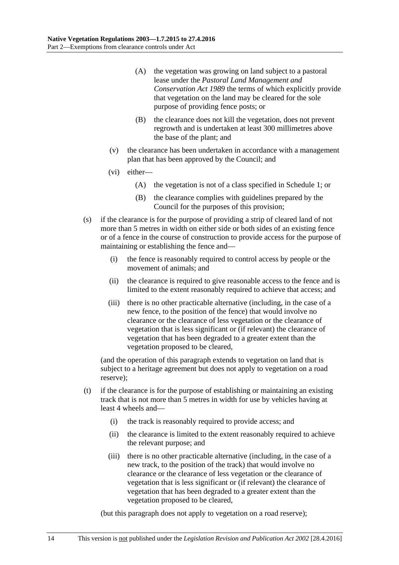- (A) the vegetation was growing on land subject to a pastoral lease under the *[Pastoral Land Management and](http://www.legislation.sa.gov.au/index.aspx?action=legref&type=act&legtitle=Pastoral%20Land%20Management%20and%20Conservation%20Act%201989)  [Conservation Act](http://www.legislation.sa.gov.au/index.aspx?action=legref&type=act&legtitle=Pastoral%20Land%20Management%20and%20Conservation%20Act%201989) 1989* the terms of which explicitly provide that vegetation on the land may be cleared for the sole purpose of providing fence posts; or
- (B) the clearance does not kill the vegetation, does not prevent regrowth and is undertaken at least 300 millimetres above the base of the plant; and
- (v) the clearance has been undertaken in accordance with a management plan that has been approved by the Council; and
- (vi) either—
	- (A) the vegetation is not of a class specified in [Schedule 1;](#page-26-3) or
	- (B) the clearance complies with guidelines prepared by the Council for the purposes of this provision;
- <span id="page-13-0"></span>(s) if the clearance is for the purpose of providing a strip of cleared land of not more than 5 metres in width on either side or both sides of an existing fence or of a fence in the course of construction to provide access for the purpose of maintaining or establishing the fence and—
	- (i) the fence is reasonably required to control access by people or the movement of animals; and
	- (ii) the clearance is required to give reasonable access to the fence and is limited to the extent reasonably required to achieve that access; and
	- (iii) there is no other practicable alternative (including, in the case of a new fence, to the position of the fence) that would involve no clearance or the clearance of less vegetation or the clearance of vegetation that is less significant or (if relevant) the clearance of vegetation that has been degraded to a greater extent than the vegetation proposed to be cleared,

(and the operation of this paragraph extends to vegetation on land that is subject to a heritage agreement but does not apply to vegetation on a road reserve);

- <span id="page-13-1"></span>(t) if the clearance is for the purpose of establishing or maintaining an existing track that is not more than 5 metres in width for use by vehicles having at least 4 wheels and—
	- (i) the track is reasonably required to provide access; and
	- (ii) the clearance is limited to the extent reasonably required to achieve the relevant purpose; and
	- (iii) there is no other practicable alternative (including, in the case of a new track, to the position of the track) that would involve no clearance or the clearance of less vegetation or the clearance of vegetation that is less significant or (if relevant) the clearance of vegetation that has been degraded to a greater extent than the vegetation proposed to be cleared,

(but this paragraph does not apply to vegetation on a road reserve);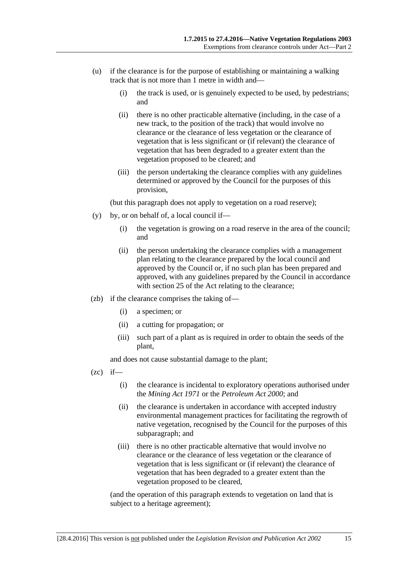- <span id="page-14-1"></span>(u) if the clearance is for the purpose of establishing or maintaining a walking track that is not more than 1 metre in width and—
	- (i) the track is used, or is genuinely expected to be used, by pedestrians; and
	- (ii) there is no other practicable alternative (including, in the case of a new track, to the position of the track) that would involve no clearance or the clearance of less vegetation or the clearance of vegetation that is less significant or (if relevant) the clearance of vegetation that has been degraded to a greater extent than the vegetation proposed to be cleared; and
	- (iii) the person undertaking the clearance complies with any guidelines determined or approved by the Council for the purposes of this provision,

(but this paragraph does not apply to vegetation on a road reserve);

- (y) by, or on behalf of, a local council if—
	- (i) the vegetation is growing on a road reserve in the area of the council; and
	- (ii) the person undertaking the clearance complies with a management plan relating to the clearance prepared by the local council and approved by the Council or, if no such plan has been prepared and approved, with any guidelines prepared by the Council in accordance with section 25 of the Act relating to the clearance;
- (zb) if the clearance comprises the taking of—
	- (i) a specimen; or
	- (ii) a cutting for propagation; or
	- (iii) such part of a plant as is required in order to obtain the seeds of the plant,

and does not cause substantial damage to the plant;

- <span id="page-14-0"></span> $(zc)$  if—
	- (i) the clearance is incidental to exploratory operations authorised under the *[Mining Act](http://www.legislation.sa.gov.au/index.aspx?action=legref&type=act&legtitle=Mining%20Act%201971) 1971* or the *[Petroleum Act](http://www.legislation.sa.gov.au/index.aspx?action=legref&type=act&legtitle=Petroleum%20Act%202000) 2000*; and
	- (ii) the clearance is undertaken in accordance with accepted industry environmental management practices for facilitating the regrowth of native vegetation, recognised by the Council for the purposes of this subparagraph; and
	- (iii) there is no other practicable alternative that would involve no clearance or the clearance of less vegetation or the clearance of vegetation that is less significant or (if relevant) the clearance of vegetation that has been degraded to a greater extent than the vegetation proposed to be cleared,

(and the operation of this paragraph extends to vegetation on land that is subject to a heritage agreement);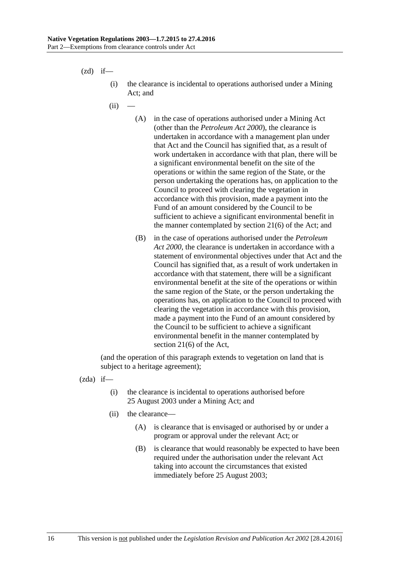<span id="page-15-0"></span> $(zd)$  if—

- (i) the clearance is incidental to operations authorised under a Mining Act; and
- $(ii)$ 
	- (A) in the case of operations authorised under a Mining Act (other than the *[Petroleum Act](http://www.legislation.sa.gov.au/index.aspx?action=legref&type=act&legtitle=Petroleum%20Act%202000) 2000*), the clearance is undertaken in accordance with a management plan under that Act and the Council has signified that, as a result of work undertaken in accordance with that plan, there will be a significant environmental benefit on the site of the operations or within the same region of the State, or the person undertaking the operations has, on application to the Council to proceed with clearing the vegetation in accordance with this provision, made a payment into the Fund of an amount considered by the Council to be sufficient to achieve a significant environmental benefit in the manner contemplated by section 21(6) of the Act; and
	- (B) in the case of operations authorised under the *[Petroleum](http://www.legislation.sa.gov.au/index.aspx?action=legref&type=act&legtitle=Petroleum%20Act%202000)  Act [2000](http://www.legislation.sa.gov.au/index.aspx?action=legref&type=act&legtitle=Petroleum%20Act%202000)*, the clearance is undertaken in accordance with a statement of environmental objectives under that Act and the Council has signified that, as a result of work undertaken in accordance with that statement, there will be a significant environmental benefit at the site of the operations or within the same region of the State, or the person undertaking the operations has, on application to the Council to proceed with clearing the vegetation in accordance with this provision, made a payment into the Fund of an amount considered by the Council to be sufficient to achieve a significant environmental benefit in the manner contemplated by section 21(6) of the Act,

(and the operation of this paragraph extends to vegetation on land that is subject to a heritage agreement);

<span id="page-15-1"></span>(zda) if—

- (i) the clearance is incidental to operations authorised before 25 August 2003 under a Mining Act; and
- (ii) the clearance—
	- (A) is clearance that is envisaged or authorised by or under a program or approval under the relevant Act; or
	- (B) is clearance that would reasonably be expected to have been required under the authorisation under the relevant Act taking into account the circumstances that existed immediately before 25 August 2003;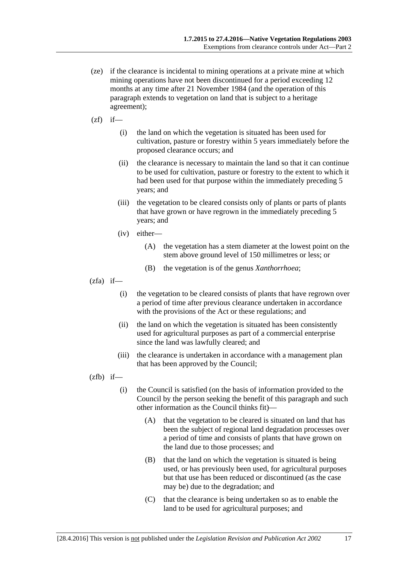- (ze) if the clearance is incidental to mining operations at a private mine at which mining operations have not been discontinued for a period exceeding 12 months at any time after 21 November 1984 (and the operation of this paragraph extends to vegetation on land that is subject to a heritage agreement);
- $(zf)$  if—
	- (i) the land on which the vegetation is situated has been used for cultivation, pasture or forestry within 5 years immediately before the proposed clearance occurs; and
	- (ii) the clearance is necessary to maintain the land so that it can continue to be used for cultivation, pasture or forestry to the extent to which it had been used for that purpose within the immediately preceding 5 years; and
	- (iii) the vegetation to be cleared consists only of plants or parts of plants that have grown or have regrown in the immediately preceding 5 years; and
	- (iv) either—
		- (A) the vegetation has a stem diameter at the lowest point on the stem above ground level of 150 millimetres or less; or
		- (B) the vegetation is of the genus *Xanthorrhoea*;
- <span id="page-16-0"></span> $(zfa)$  if—
	- (i) the vegetation to be cleared consists of plants that have regrown over a period of time after previous clearance undertaken in accordance with the provisions of the Act or these regulations; and
	- (ii) the land on which the vegetation is situated has been consistently used for agricultural purposes as part of a commercial enterprise since the land was lawfully cleared; and
	- (iii) the clearance is undertaken in accordance with a management plan that has been approved by the Council;

<span id="page-16-1"></span> $(zfb)$  if—

- (i) the Council is satisfied (on the basis of information provided to the Council by the person seeking the benefit of this paragraph and such other information as the Council thinks fit)—
	- (A) that the vegetation to be cleared is situated on land that has been the subject of regional land degradation processes over a period of time and consists of plants that have grown on the land due to those processes; and
	- (B) that the land on which the vegetation is situated is being used, or has previously been used, for agricultural purposes but that use has been reduced or discontinued (as the case may be) due to the degradation; and
	- (C) that the clearance is being undertaken so as to enable the land to be used for agricultural purposes; and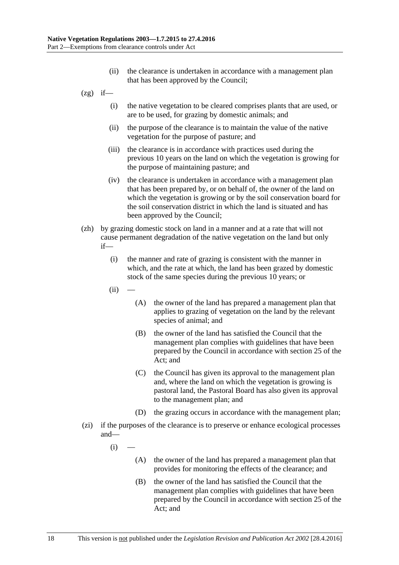- (ii) the clearance is undertaken in accordance with a management plan that has been approved by the Council;
- $(2g)$  if—
	- (i) the native vegetation to be cleared comprises plants that are used, or are to be used, for grazing by domestic animals; and
	- (ii) the purpose of the clearance is to maintain the value of the native vegetation for the purpose of pasture; and
	- (iii) the clearance is in accordance with practices used during the previous 10 years on the land on which the vegetation is growing for the purpose of maintaining pasture; and
	- (iv) the clearance is undertaken in accordance with a management plan that has been prepared by, or on behalf of, the owner of the land on which the vegetation is growing or by the soil conservation board for the soil conservation district in which the land is situated and has been approved by the Council;
- (zh) by grazing domestic stock on land in a manner and at a rate that will not cause permanent degradation of the native vegetation on the land but only if—
	- (i) the manner and rate of grazing is consistent with the manner in which, and the rate at which, the land has been grazed by domestic stock of the same species during the previous 10 years; or
	- $(ii)$
- (A) the owner of the land has prepared a management plan that applies to grazing of vegetation on the land by the relevant species of animal; and
- (B) the owner of the land has satisfied the Council that the management plan complies with guidelines that have been prepared by the Council in accordance with section 25 of the Act; and
- (C) the Council has given its approval to the management plan and, where the land on which the vegetation is growing is pastoral land, the Pastoral Board has also given its approval to the management plan; and
- (D) the grazing occurs in accordance with the management plan;
- (zi) if the purposes of the clearance is to preserve or enhance ecological processes and—
	- $(i)$ 
		- (A) the owner of the land has prepared a management plan that provides for monitoring the effects of the clearance; and
		- (B) the owner of the land has satisfied the Council that the management plan complies with guidelines that have been prepared by the Council in accordance with section 25 of the Act; and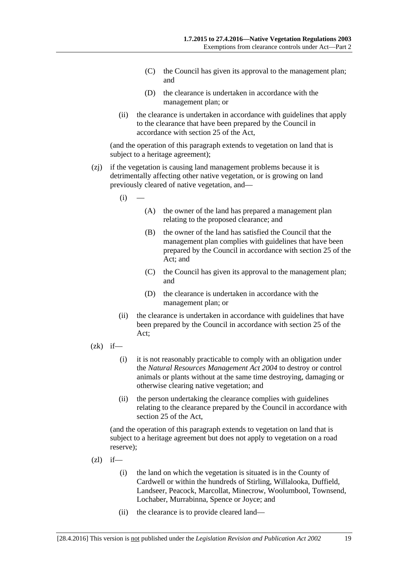- (C) the Council has given its approval to the management plan; and
- (D) the clearance is undertaken in accordance with the management plan; or
- (ii) the clearance is undertaken in accordance with guidelines that apply to the clearance that have been prepared by the Council in accordance with section 25 of the Act,

(and the operation of this paragraph extends to vegetation on land that is subject to a heritage agreement);

- (zj) if the vegetation is causing land management problems because it is detrimentally affecting other native vegetation, or is growing on land previously cleared of native vegetation, and—
	- $(i)$
- (A) the owner of the land has prepared a management plan relating to the proposed clearance; and
- (B) the owner of the land has satisfied the Council that the management plan complies with guidelines that have been prepared by the Council in accordance with section 25 of the Act; and
- (C) the Council has given its approval to the management plan; and
- (D) the clearance is undertaken in accordance with the management plan; or
- (ii) the clearance is undertaken in accordance with guidelines that have been prepared by the Council in accordance with section 25 of the Act;
- $(zk)$  if—
	- (i) it is not reasonably practicable to comply with an obligation under the *[Natural Resources Management Act](http://www.legislation.sa.gov.au/index.aspx?action=legref&type=act&legtitle=Natural%20Resources%20Management%20Act%202004) 2004* to destroy or control animals or plants without at the same time destroying, damaging or otherwise clearing native vegetation; and
	- (ii) the person undertaking the clearance complies with guidelines relating to the clearance prepared by the Council in accordance with section 25 of the Act,

(and the operation of this paragraph extends to vegetation on land that is subject to a heritage agreement but does not apply to vegetation on a road reserve);

- $(zl)$  if—
	- (i) the land on which the vegetation is situated is in the County of Cardwell or within the hundreds of Stirling, Willalooka, Duffield, Landseer, Peacock, Marcollat, Minecrow, Woolumbool, Townsend, Lochaber, Murrabinna, Spence or Joyce; and
	- (ii) the clearance is to provide cleared land—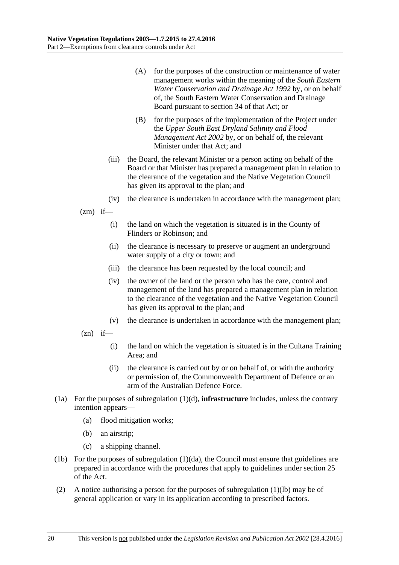- (A) for the purposes of the construction or maintenance of water management works within the meaning of the *[South Eastern](http://www.legislation.sa.gov.au/index.aspx?action=legref&type=act&legtitle=South%20Eastern%20Water%20Conservation%20and%20Drainage%20Act%201992)  [Water Conservation and Drainage Act](http://www.legislation.sa.gov.au/index.aspx?action=legref&type=act&legtitle=South%20Eastern%20Water%20Conservation%20and%20Drainage%20Act%201992) 1992* by, or on behalf of, the South Eastern Water Conservation and Drainage Board pursuant to section 34 of that Act; or
- (B) for the purposes of the implementation of the Project under the *[Upper South East Dryland Salinity and Flood](http://www.legislation.sa.gov.au/index.aspx?action=legref&type=act&legtitle=Upper%20South%20East%20Dryland%20Salinity%20and%20Flood%20Management%20Act%202002)  [Management Act](http://www.legislation.sa.gov.au/index.aspx?action=legref&type=act&legtitle=Upper%20South%20East%20Dryland%20Salinity%20and%20Flood%20Management%20Act%202002) 2002* by, or on behalf of, the relevant Minister under that Act; and
- (iii) the Board, the relevant Minister or a person acting on behalf of the Board or that Minister has prepared a management plan in relation to the clearance of the vegetation and the Native Vegetation Council has given its approval to the plan; and
- (iv) the clearance is undertaken in accordance with the management plan;

 $(zm)$  if—

- (i) the land on which the vegetation is situated is in the County of Flinders or Robinson; and
- (ii) the clearance is necessary to preserve or augment an underground water supply of a city or town; and
- (iii) the clearance has been requested by the local council; and
- (iv) the owner of the land or the person who has the care, control and management of the land has prepared a management plan in relation to the clearance of the vegetation and the Native Vegetation Council has given its approval to the plan; and
- (v) the clearance is undertaken in accordance with the management plan;
- $(zn)$  if—
	- (i) the land on which the vegetation is situated is in the Cultana Training Area; and
	- (ii) the clearance is carried out by or on behalf of, or with the authority or permission of, the Commonwealth Department of Defence or an arm of the Australian Defence Force.
- (1a) For the purposes of [subregulation](#page-5-0) (1)(d), **infrastructure** includes, unless the contrary intention appears—
	- (a) flood mitigation works;
	- (b) an airstrip;
	- (c) a shipping channel.
- (1b) For the purposes of [subregulation](#page-6-0) (1)(da), the Council must ensure that guidelines are prepared in accordance with the procedures that apply to guidelines under section 25 of the Act.
- (2) A notice authorising a person for the purposes of [subregulation](#page-11-0) (1)(lb) may be of general application or vary in its application according to prescribed factors.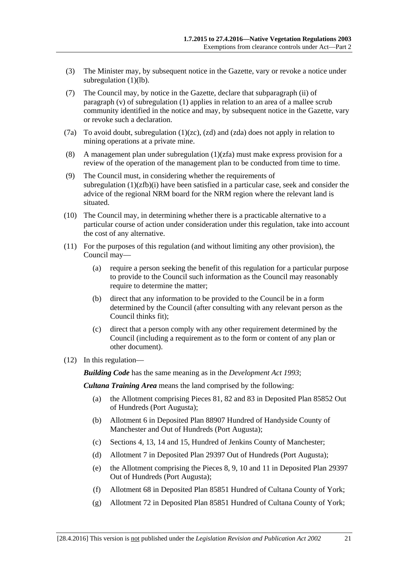- (3) The Minister may, by subsequent notice in the Gazette, vary or revoke a notice under [subregulation](#page-11-0) (1)(lb).
- (7) The Council may, by notice in the Gazette, declare that [subparagraph](#page-23-0) (ii) of [paragraph](#page-22-0) (v) of [subregulation](#page-2-3) (1) applies in relation to an area of a mallee scrub community identified in the notice and may, by subsequent notice in the Gazette, vary or revoke such a declaration.
- (7a) To avoid doubt, [subregulation](#page-14-0)  $(1)(zc)$ ,  $(zd)$  and  $(zda)$  does not apply in relation to mining operations at a private mine.
- (8) A management plan under [subregulation](#page-16-0) (1)(zfa) must make express provision for a review of the operation of the management plan to be conducted from time to time.
- (9) The Council must, in considering whether the requirements of [subregulation](#page-16-1)  $(1)(zfb)(i)$  have been satisfied in a particular case, seek and consider the advice of the regional NRM board for the NRM region where the relevant land is situated.
- (10) The Council may, in determining whether there is a practicable alternative to a particular course of action under consideration under this regulation, take into account the cost of any alternative.
- (11) For the purposes of this regulation (and without limiting any other provision), the Council may—
	- (a) require a person seeking the benefit of this regulation for a particular purpose to provide to the Council such information as the Council may reasonably require to determine the matter;
	- (b) direct that any information to be provided to the Council be in a form determined by the Council (after consulting with any relevant person as the Council thinks fit);
	- (c) direct that a person comply with any other requirement determined by the Council (including a requirement as to the form or content of any plan or other document).
- <span id="page-20-0"></span>(12) In this regulation—

*Building Code* has the same meaning as in the *[Development Act](http://www.legislation.sa.gov.au/index.aspx?action=legref&type=act&legtitle=Development%20Act%201993) 1993*;

*Cultana Training Area* means the land comprised by the following:

- (a) the Allotment comprising Pieces 81, 82 and 83 in Deposited Plan 85852 Out of Hundreds (Port Augusta);
- (b) Allotment 6 in Deposited Plan 88907 Hundred of Handyside County of Manchester and Out of Hundreds (Port Augusta);
- (c) Sections 4, 13, 14 and 15, Hundred of Jenkins County of Manchester;
- (d) Allotment 7 in Deposited Plan 29397 Out of Hundreds (Port Augusta);
- (e) the Allotment comprising the Pieces 8, 9, 10 and 11 in Deposited Plan 29397 Out of Hundreds (Port Augusta);
- (f) Allotment 68 in Deposited Plan 85851 Hundred of Cultana County of York;
- (g) Allotment 72 in Deposited Plan 85851 Hundred of Cultana County of York;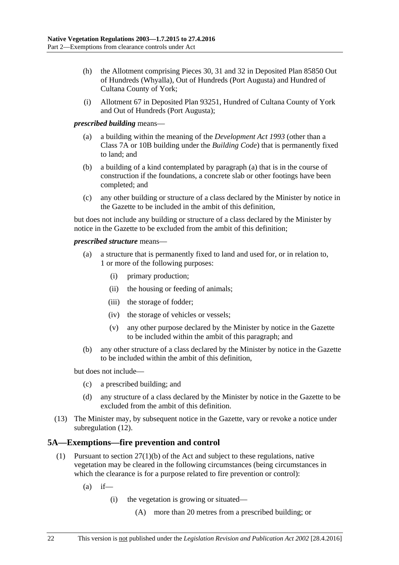- (h) the Allotment comprising Pieces 30, 31 and 32 in Deposited Plan 85850 Out of Hundreds (Whyalla), Out of Hundreds (Port Augusta) and Hundred of Cultana County of York;
- (i) Allotment 67 in Deposited Plan 93251, Hundred of Cultana County of York and Out of Hundreds (Port Augusta);

### <span id="page-21-1"></span>*prescribed building* means—

- (a) a building within the meaning of the *[Development Act](http://www.legislation.sa.gov.au/index.aspx?action=legref&type=act&legtitle=Development%20Act%201993) 1993* (other than a Class 7A or 10B building under the *Building Code*) that is permanently fixed to land; and
- (b) a building of a kind contemplated by [paragraph](#page-21-1) (a) that is in the course of construction if the foundations, a concrete slab or other footings have been completed; and
- (c) any other building or structure of a class declared by the Minister by notice in the Gazette to be included in the ambit of this definition,

but does not include any building or structure of a class declared by the Minister by notice in the Gazette to be excluded from the ambit of this definition;

### *prescribed structure* means—

- (a) a structure that is permanently fixed to land and used for, or in relation to, 1 or more of the following purposes:
	- (i) primary production;
	- (ii) the housing or feeding of animals;
	- (iii) the storage of fodder;
	- (iv) the storage of vehicles or vessels;
	- (v) any other purpose declared by the Minister by notice in the Gazette to be included within the ambit of this paragraph; and
- (b) any other structure of a class declared by the Minister by notice in the Gazette to be included within the ambit of this definition,

but does not include—

- (c) a prescribed building; and
- (d) any structure of a class declared by the Minister by notice in the Gazette to be excluded from the ambit of this definition.
- (13) The Minister may, by subsequent notice in the Gazette, vary or revoke a notice under [subregulation](#page-20-0) (12).

## <span id="page-21-0"></span>**5A—Exemptions—fire prevention and control**

- (1) Pursuant to section 27(1)(b) of the Act and subject to these regulations, native vegetation may be cleared in the following circumstances (being circumstances in which the clearance is for a purpose related to fire prevention or control):
	- $(a)$  if—
		- (i) the vegetation is growing or situated—
			- (A) more than 20 metres from a prescribed building; or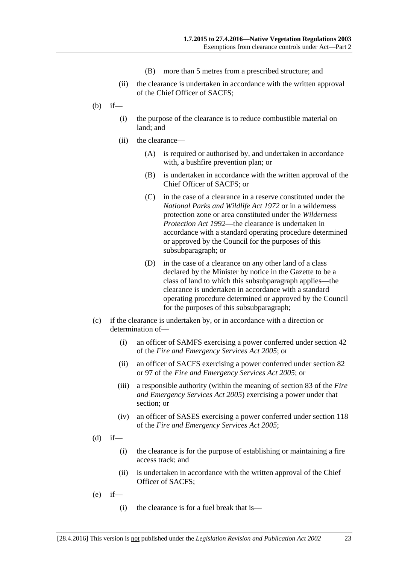- (B) more than 5 metres from a prescribed structure; and
- (ii) the clearance is undertaken in accordance with the written approval of the Chief Officer of SACFS;
- (b) if—
	- (i) the purpose of the clearance is to reduce combustible material on land; and
	- (ii) the clearance—
		- (A) is required or authorised by, and undertaken in accordance with, a bushfire prevention plan; or
		- (B) is undertaken in accordance with the written approval of the Chief Officer of SACFS; or
		- (C) in the case of a clearance in a reserve constituted under the *[National Parks and Wildlife Act](http://www.legislation.sa.gov.au/index.aspx?action=legref&type=act&legtitle=National%20Parks%20and%20Wildlife%20Act%201972) 1972* or in a wilderness protection zone or area constituted under the *[Wilderness](http://www.legislation.sa.gov.au/index.aspx?action=legref&type=act&legtitle=Wilderness%20Protection%20Act%201992)  [Protection Act](http://www.legislation.sa.gov.au/index.aspx?action=legref&type=act&legtitle=Wilderness%20Protection%20Act%201992) 1992*—the clearance is undertaken in accordance with a standard operating procedure determined or approved by the Council for the purposes of this subsubparagraph; or
		- (D) in the case of a clearance on any other land of a class declared by the Minister by notice in the Gazette to be a class of land to which this subsubparagraph applies—the clearance is undertaken in accordance with a standard operating procedure determined or approved by the Council for the purposes of this subsubparagraph;
- (c) if the clearance is undertaken by, or in accordance with a direction or determination of—
	- (i) an officer of SAMFS exercising a power conferred under section 42 of the *[Fire and Emergency Services Act](http://www.legislation.sa.gov.au/index.aspx?action=legref&type=act&legtitle=Fire%20and%20Emergency%20Services%20Act%202005) 2005*; or
	- (ii) an officer of SACFS exercising a power conferred under section 82 or 97 of the *[Fire and Emergency Services Act](http://www.legislation.sa.gov.au/index.aspx?action=legref&type=act&legtitle=Fire%20and%20Emergency%20Services%20Act%202005) 2005*; or
	- (iii) a responsible authority (within the meaning of section 83 of the *[Fire](http://www.legislation.sa.gov.au/index.aspx?action=legref&type=act&legtitle=Fire%20and%20Emergency%20Services%20Act%202005)  [and Emergency Services Act](http://www.legislation.sa.gov.au/index.aspx?action=legref&type=act&legtitle=Fire%20and%20Emergency%20Services%20Act%202005) 2005*) exercising a power under that section; or
	- (iv) an officer of SASES exercising a power conferred under section 118 of the *[Fire and Emergency Services Act](http://www.legislation.sa.gov.au/index.aspx?action=legref&type=act&legtitle=Fire%20and%20Emergency%20Services%20Act%202005) 2005*;
- $(d)$  if—
	- (i) the clearance is for the purpose of establishing or maintaining a fire access track; and
	- (ii) is undertaken in accordance with the written approval of the Chief Officer of SACFS;
- <span id="page-22-0"></span> $(e)$  if—
	- (i) the clearance is for a fuel break that is—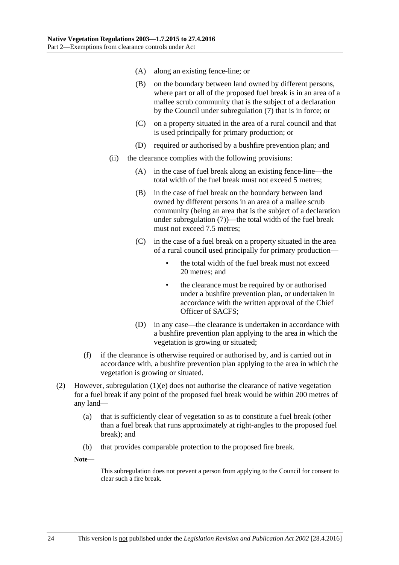- <span id="page-23-0"></span>(A) along an existing fence-line; or
- (B) on the boundary between land owned by different persons, where part or all of the proposed fuel break is in an area of a mallee scrub community that is the subject of a declaration by the Council under [subregulation](#page-24-1) (7) that is in force; or
- (C) on a property situated in the area of a rural council and that is used principally for primary production; or
- (D) required or authorised by a bushfire prevention plan; and
- (ii) the clearance complies with the following provisions:
	- (A) in the case of fuel break along an existing fence-line—the total width of the fuel break must not exceed 5 metres;
	- (B) in the case of fuel break on the boundary between land owned by different persons in an area of a mallee scrub community (being an area that is the subject of a declaration under [subregulation](#page-24-1) (7))—the total width of the fuel break must not exceed 7.5 metres:
	- (C) in the case of a fuel break on a property situated in the area of a rural council used principally for primary production
		- the total width of the fuel break must not exceed 20 metres; and
		- the clearance must be required by or authorised under a bushfire prevention plan, or undertaken in accordance with the written approval of the Chief Officer of SACFS;
	- (D) in any case—the clearance is undertaken in accordance with a bushfire prevention plan applying to the area in which the vegetation is growing or situated;
- (f) if the clearance is otherwise required or authorised by, and is carried out in accordance with, a bushfire prevention plan applying to the area in which the vegetation is growing or situated.
- <span id="page-23-1"></span>(2) However, [subregulation](#page-22-0)  $(1)(e)$  does not authorise the clearance of native vegetation for a fuel break if any point of the proposed fuel break would be within 200 metres of any land—
	- (a) that is sufficiently clear of vegetation so as to constitute a fuel break (other than a fuel break that runs approximately at right-angles to the proposed fuel break); and
	- (b) that provides comparable protection to the proposed fire break.

**Note—**

This subregulation does not prevent a person from applying to the Council for consent to clear such a fire break.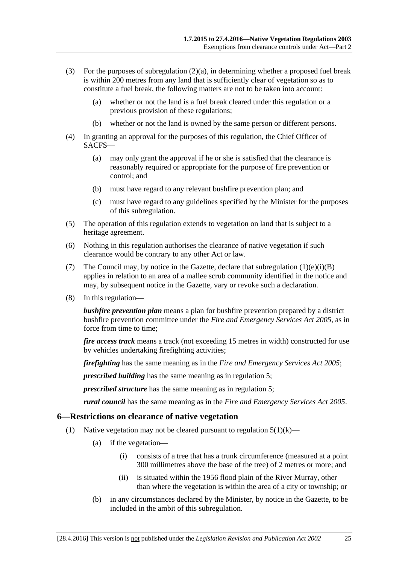- (3) For the purposes of [subregulation](#page-23-1)  $(2)(a)$ , in determining whether a proposed fuel break is within 200 metres from any land that is sufficiently clear of vegetation so as to constitute a fuel break, the following matters are not to be taken into account:
	- (a) whether or not the land is a fuel break cleared under this regulation or a previous provision of these regulations;
	- (b) whether or not the land is owned by the same person or different persons.
- (4) In granting an approval for the purposes of this regulation, the Chief Officer of SACFS—
	- (a) may only grant the approval if he or she is satisfied that the clearance is reasonably required or appropriate for the purpose of fire prevention or control; and
	- (b) must have regard to any relevant bushfire prevention plan; and
	- (c) must have regard to any guidelines specified by the Minister for the purposes of this subregulation.
- (5) The operation of this regulation extends to vegetation on land that is subject to a heritage agreement.
- (6) Nothing in this regulation authorises the clearance of native vegetation if such clearance would be contrary to any other Act or law.
- <span id="page-24-1"></span>(7) The Council may, by notice in the Gazette, declare that [subregulation](#page-23-0)  $(1)(e)(i)(B)$ applies in relation to an area of a mallee scrub community identified in the notice and may, by subsequent notice in the Gazette, vary or revoke such a declaration.
- (8) In this regulation—

*bushfire prevention plan* means a plan for bushfire prevention prepared by a district bushfire prevention committee under the *[Fire and Emergency Services Act](http://www.legislation.sa.gov.au/index.aspx?action=legref&type=act&legtitle=Fire%20and%20Emergency%20Services%20Act%202005) 2005*, as in force from time to time;

*fire access track* means a track (not exceeding 15 metres in width) constructed for use by vehicles undertaking firefighting activities;

*firefighting* has the same meaning as in the *[Fire and Emergency Services Act](http://www.legislation.sa.gov.au/index.aspx?action=legref&type=act&legtitle=Fire%20and%20Emergency%20Services%20Act%202005) 2005*;

*prescribed building* has the same meaning as in [regulation](#page-2-2) 5;

*prescribed structure* has the same meaning as in [regulation](#page-2-2) 5;

*rural council* has the same meaning as in the *[Fire and Emergency Services Act](http://www.legislation.sa.gov.au/index.aspx?action=legref&type=act&legtitle=Fire%20and%20Emergency%20Services%20Act%202005) 2005*.

### <span id="page-24-0"></span>**6—Restrictions on clearance of native vegetation**

- <span id="page-24-2"></span>(1) Native vegetation may not be cleared pursuant to [regulation](#page-10-0)  $5(1)(k)$ —
	- (a) if the vegetation—
		- (i) consists of a tree that has a trunk circumference (measured at a point 300 millimetres above the base of the tree) of 2 metres or more; and
		- (ii) is situated within the 1956 flood plain of the River Murray, other than where the vegetation is within the area of a city or township; or
	- (b) in any circumstances declared by the Minister, by notice in the Gazette, to be included in the ambit of this subregulation.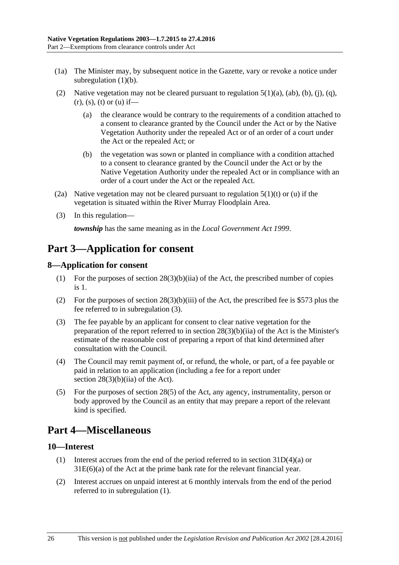- (1a) The Minister may, by subsequent notice in the Gazette, vary or revoke a notice under [subregulation](#page-24-2)  $(1)(b)$ .
- (2) Native vegetation may not be cleared pursuant to [regulation](#page-2-4)  $5(1)(a)$ ,  $(ab)$ ,  $(b)$ ,  $(i)$ ,  $(q)$ ,  $(r)$ , [\(s\),](#page-13-0) [\(t\)](#page-13-1) or [\(u\)](#page-14-1) if—
	- (a) the clearance would be contrary to the requirements of a condition attached to a consent to clearance granted by the Council under the Act or by the Native Vegetation Authority under the repealed Act or of an order of a court under the Act or the repealed Act; or
	- (b) the vegetation was sown or planted in compliance with a condition attached to a consent to clearance granted by the Council under the Act or by the Native Vegetation Authority under the repealed Act or in compliance with an order of a court under the Act or the repealed Act.
- (2a) Native vegetation may not be cleared pursuant to [regulation](#page-13-1)  $5(1)(t)$  or [\(u\)](#page-14-1) if the vegetation is situated within the River Murray Floodplain Area.
- (3) In this regulation—

*township* has the same meaning as in the *[Local Government Act](http://www.legislation.sa.gov.au/index.aspx?action=legref&type=act&legtitle=Local%20Government%20Act%201999) 1999*.

# <span id="page-25-0"></span>**Part 3—Application for consent**

### <span id="page-25-1"></span>**8—Application for consent**

- (1) For the purposes of section  $28(3)(b)(iia)$  of the Act, the prescribed number of copies is 1.
- (2) For the purposes of section  $28(3)(b)(iii)$  of the Act, the prescribed fee is \$573 plus the fee referred to in [subregulation](#page-25-4) (3).
- <span id="page-25-4"></span>(3) The fee payable by an applicant for consent to clear native vegetation for the preparation of the report referred to in section  $28(3)(b)(ii)$  of the Act is the Minister's estimate of the reasonable cost of preparing a report of that kind determined after consultation with the Council.
- (4) The Council may remit payment of, or refund, the whole, or part, of a fee payable or paid in relation to an application (including a fee for a report under section  $28(3)(b)(ii)$  of the Act).
- (5) For the purposes of section 28(5) of the Act, any agency, instrumentality, person or body approved by the Council as an entity that may prepare a report of the relevant kind is specified.

# <span id="page-25-2"></span>**Part 4—Miscellaneous**

### <span id="page-25-5"></span><span id="page-25-3"></span>**10—Interest**

- (1) Interest accrues from the end of the period referred to in section 31D(4)(a) or 31E(6)(a) of the Act at the prime bank rate for the relevant financial year.
- (2) Interest accrues on unpaid interest at 6 monthly intervals from the end of the period referred to in [subregulation](#page-25-5) (1).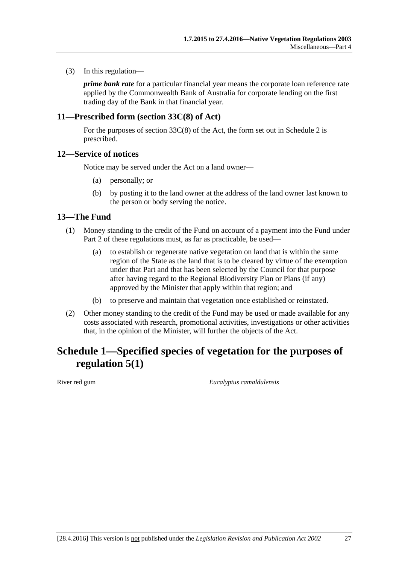(3) In this regulation—

*prime bank rate* for a particular financial year means the corporate loan reference rate applied by the Commonwealth Bank of Australia for corporate lending on the first trading day of the Bank in that financial year.

### <span id="page-26-0"></span>**11—Prescribed form (section 33C(8) of Act)**

For the purposes of section 33C(8) of the Act, the form set out in [Schedule 2](#page-27-0) is prescribed.

### <span id="page-26-1"></span>**12—Service of notices**

Notice may be served under the Act on a land owner—

- (a) personally; or
- (b) by posting it to the land owner at the address of the land owner last known to the person or body serving the notice.

### <span id="page-26-2"></span>**13—The Fund**

- (1) Money standing to the credit of the Fund on account of a payment into the Fund under [Part 2](#page-2-0) of these regulations must, as far as practicable, be used—
	- (a) to establish or regenerate native vegetation on land that is within the same region of the State as the land that is to be cleared by virtue of the exemption under that Part and that has been selected by the Council for that purpose after having regard to the Regional Biodiversity Plan or Plans (if any) approved by the Minister that apply within that region; and
	- (b) to preserve and maintain that vegetation once established or reinstated.
- (2) Other money standing to the credit of the Fund may be used or made available for any costs associated with research, promotional activities, investigations or other activities that, in the opinion of the Minister, will further the objects of the Act.

# <span id="page-26-3"></span>**Schedule 1—Specified species of vegetation for the purposes of [regulation](#page-2-3) 5(1)**

River red gum *Eucalyptus camaldulensis*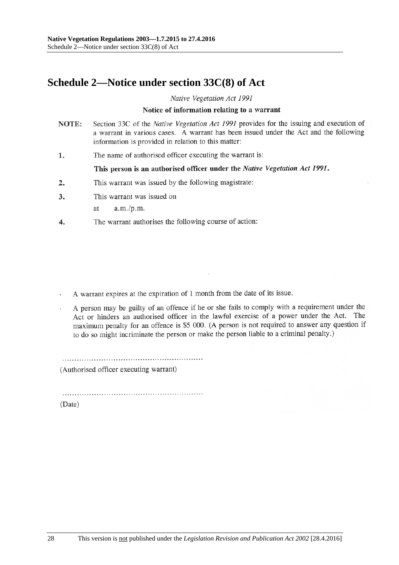# <span id="page-27-0"></span>**Schedule 2—Notice under section 33C(8) of Act**

Native Vegetation Act 1991

#### Notice of information relating to a warrant

- NOTE: Section 33C of the Native Vegetation Act 1991 provides for the issuing and execution of a warrant in various cases. A warrant has been issued under the Act and the following information is provided in relation to this matter:
- The name of authorised officer executing the warrant is: 1.

This person is an authorised officer under the Native Vegetation Act 1991.

- This warrant was issued by the following magistrate:  $\overline{2}$ .
- 3. This warrant was issued on
	- $a.m./p.m.$ at
- The warrant authorises the following course of action:  $\overline{4}$ .

A warrant expires at the expiration of 1 month from the date of its issue.

A person may be guilty of an offence if he or she fails to comply with a requirement under the Act or hinders an authorised officer in the lawful exercise of a power under the Act. The maximum penalty for an offence is \$5 000. (A person is not required to answer any question if to do so might incriminate the person or make the person liable to a criminal penalty.)

(Authorised officer executing warrant)

(Date)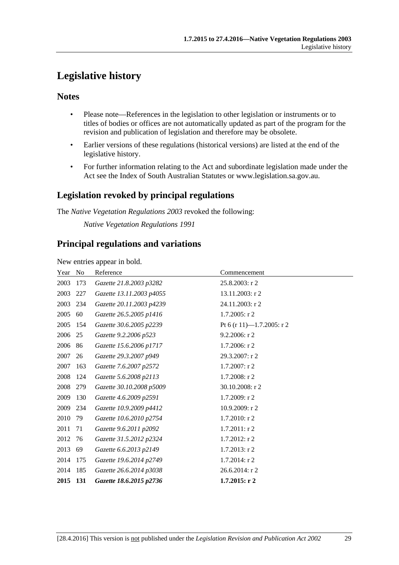# <span id="page-28-0"></span>**Legislative history**

### **Notes**

- Please note—References in the legislation to other legislation or instruments or to titles of bodies or offices are not automatically updated as part of the program for the revision and publication of legislation and therefore may be obsolete.
- Earlier versions of these regulations (historical versions) are listed at the end of the legislative history.
- For further information relating to the Act and subordinate legislation made under the Act see the Index of South Australian Statutes or www.legislation.sa.gov.au.

## **Legislation revoked by principal regulations**

The *Native Vegetation Regulations 2003* revoked the following:

*Native Vegetation Regulations 1991*

## **Principal regulations and variations**

New entries appear in bold.

| Year | N <sub>0</sub> | Reference                | Commencement              |
|------|----------------|--------------------------|---------------------------|
| 2003 | 173            | Gazette 21.8.2003 p3282  | 25.8.2003: r 2            |
| 2003 | 227            | Gazette 13.11.2003 p4055 | 13.11.2003: r 2           |
| 2003 | 234            | Gazette 20.11.2003 p4239 | 24.11.2003: r 2           |
| 2005 | 60             | Gazette 26.5.2005 p1416  | $1.7.2005$ : r 2          |
| 2005 | 154            | Gazette 30.6.2005 p2239  | Pt 6 (r 11)-1.7.2005: r 2 |
| 2006 | 25             | Gazette 9.2.2006 p523    | $9.2.2006$ : r 2          |
| 2006 | 86             | Gazette 15.6.2006 p1717  | 1.7.2006: r 2             |
| 2007 | 26             | Gazette 29.3.2007 p949   | 29.3.2007: r 2            |
| 2007 | 163            | Gazette 7.6.2007 p2572   | $1.7.2007:$ r 2           |
| 2008 | 124            | Gazette 5.6.2008 p2113   | 1.7.2008: r 2             |
| 2008 | 279            | Gazette 30.10.2008 p5009 | 30.10.2008: r 2           |
| 2009 | 130            | Gazette 4.6.2009 p2591   | 1.7.2009: r 2             |
| 2009 | 234            | Gazette 10.9.2009 p4412  | 10.9.2009: r 2            |
| 2010 | 79             | Gazette 10.6.2010 p2754  | 1.7.2010: r 2             |
| 2011 | 71             | Gazette 9.6.2011 p2092   | $1.7.2011:$ r 2           |
| 2012 | 76             | Gazette 31.5.2012 p2324  | $1.7.2012$ : r 2          |
| 2013 | 69             | Gazette 6.6.2013 p2149   | $1.7.2013$ : r 2          |
| 2014 | 175            | Gazette 19.6.2014 p2749  | 1.7.2014: r 2             |
| 2014 | 185            | Gazette 26.6.2014 p3038  | 26.6.2014: r 2            |
| 2015 | 131            | Gazette 18.6.2015 p2736  | $1.7.2015:$ r 2           |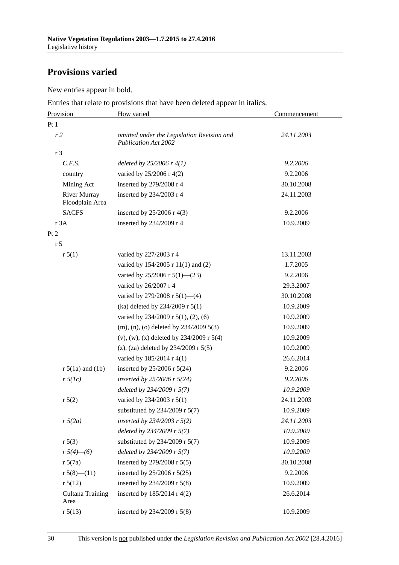# **Provisions varied**

New entries appear in bold.

Entries that relate to provisions that have been deleted appear in italics.

| Provision                              | How varied                                                                | Commencement |
|----------------------------------------|---------------------------------------------------------------------------|--------------|
| Pt1                                    |                                                                           |              |
| r <sub>2</sub>                         | omitted under the Legislation Revision and<br><b>Publication Act 2002</b> | 24.11.2003   |
| r 3                                    |                                                                           |              |
| C.F.S.                                 | deleted by $25/2006$ r $4(1)$                                             | 9.2.2006     |
| country                                | varied by $25/2006$ r 4(2)                                                | 9.2.2006     |
| Mining Act                             | inserted by 279/2008 r 4                                                  | 30.10.2008   |
| <b>River Murray</b><br>Floodplain Area | inserted by 234/2003 r 4                                                  | 24.11.2003   |
| <b>SACFS</b>                           | inserted by $25/2006$ r 4(3)                                              | 9.2.2006     |
| r 3A                                   | inserted by 234/2009 r 4                                                  | 10.9.2009    |
| Pt 2                                   |                                                                           |              |
| r <sub>5</sub>                         |                                                                           |              |
| r 5(1)                                 | varied by 227/2003 r 4                                                    | 13.11.2003   |
|                                        | varied by 154/2005 r 11(1) and (2)                                        | 1.7.2005     |
|                                        | varied by 25/2006 r 5(1)–(23)                                             | 9.2.2006     |
|                                        | varied by 26/2007 r 4                                                     | 29.3.2007    |
|                                        | varied by 279/2008 r $5(1)$ —(4)                                          | 30.10.2008   |
|                                        | (ka) deleted by 234/2009 r 5(1)                                           | 10.9.2009    |
|                                        | varied by $234/2009$ r $5(1)$ , $(2)$ , $(6)$                             | 10.9.2009    |
|                                        | $(m)$ , (n), (o) deleted by 234/2009 5(3)                                 | 10.9.2009    |
|                                        | $(v)$ , $(w)$ , $(x)$ deleted by 234/2009 r 5(4)                          | 10.9.2009    |
|                                        | (z), (za) deleted by $234/2009$ r $5(5)$                                  | 10.9.2009    |
|                                        | varied by 185/2014 r 4(1)                                                 | 26.6.2014    |
| $r 5(1a)$ and $(1b)$                   | inserted by $25/2006$ r $5(24)$                                           | 9.2.2006     |
| $r \, 5(lc)$                           | inserted by $25/2006$ r $5(24)$                                           | 9.2.2006     |
|                                        | deleted by $234/2009$ r 5(7)                                              | 10.9.2009    |
| r 5(2)                                 | varied by 234/2003 r 5(1)                                                 | 24.11.2003   |
|                                        | substituted by 234/2009 r 5(7)                                            | 10.9.2009    |
| $r\sqrt{5(2a)}$                        | inserted by $234/2003$ r $5(2)$                                           | 24.11.2003   |
|                                        | deleted by 234/2009 r 5(7)                                                | 10.9.2009    |
| r 5(3)                                 | substituted by 234/2009 r 5(7)                                            | 10.9.2009    |
| $r 5(4)$ - (6)                         | deleted by 234/2009 r 5(7)                                                | 10.9.2009    |
| r 5(7a)                                | inserted by 279/2008 r 5(5)                                               | 30.10.2008   |
| r $5(8)$ — $(11)$                      | inserted by 25/2006 r 5(25)                                               | 9.2.2006     |
| r 5(12)                                | inserted by 234/2009 r 5(8)                                               | 10.9.2009    |
| Cultana Training<br>Area               | inserted by $185/2014$ r 4(2)                                             | 26.6.2014    |
| r 5(13)                                | inserted by 234/2009 r 5(8)                                               | 10.9.2009    |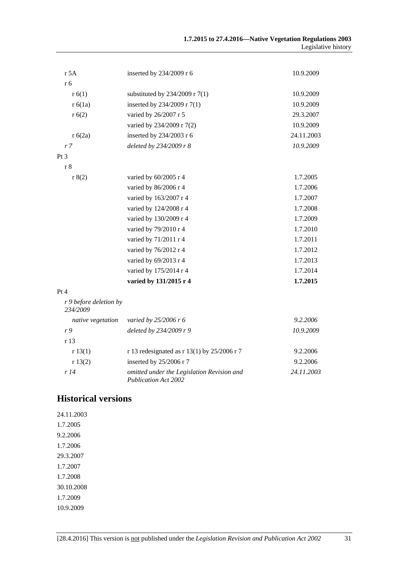| r 5A                               | inserted by 234/2009 r 6                                                  | 10.9.2009  |
|------------------------------------|---------------------------------------------------------------------------|------------|
| r 6                                |                                                                           |            |
| r(6(1))                            | substituted by $234/2009$ r $7(1)$                                        | 10.9.2009  |
| r 6(1a)                            | inserted by 234/2009 r 7(1)                                               | 10.9.2009  |
| r(6(2)                             | varied by 26/2007 r 5                                                     | 29.3.2007  |
|                                    | varied by 234/2009 r 7(2)                                                 | 10.9.2009  |
| r 6(2a)                            | inserted by 234/2003 r 6                                                  | 24.11.2003 |
| r <sub>7</sub>                     | deleted by 234/2009 r 8                                                   | 10.9.2009  |
| Pt <sub>3</sub>                    |                                                                           |            |
| r 8                                |                                                                           |            |
| r 8(2)                             | varied by 60/2005 r 4                                                     | 1.7.2005   |
|                                    | varied by 86/2006 r 4                                                     | 1.7.2006   |
|                                    | varied by 163/2007 r 4                                                    | 1.7.2007   |
|                                    | varied by 124/2008 r 4                                                    | 1.7.2008   |
|                                    | varied by 130/2009 r 4                                                    | 1.7.2009   |
|                                    | varied by 79/2010 r 4                                                     | 1.7.2010   |
|                                    | varied by 71/2011 r 4                                                     | 1.7.2011   |
|                                    | varied by 76/2012 r 4                                                     | 1.7.2012   |
|                                    | varied by 69/2013 r 4                                                     | 1.7.2013   |
|                                    | varied by 175/2014 r 4                                                    | 1.7.2014   |
|                                    | varied by 131/2015 r 4                                                    | 1.7.2015   |
| Pt 4                               |                                                                           |            |
| r 9 before deletion by<br>234/2009 |                                                                           |            |
| native vegetation                  | varied by 25/2006 r 6                                                     | 9.2.2006   |
| r9                                 | deleted by 234/2009 r 9                                                   | 10.9.2009  |
| r <sub>13</sub>                    |                                                                           |            |
| r 13(1)                            | r 13 redesignated as r 13(1) by 25/2006 r 7                               | 9.2.2006   |
| r 13(2)                            | inserted by 25/2006 r 7                                                   | 9.2.2006   |
| r 14                               | omitted under the Legislation Revision and<br><b>Publication Act 2002</b> | 24.11.2003 |

## **Historical versions**

24.11.2003 1.7.2005 9.2.2006 1.7.2006 29.3.2007 1.7.2007 1.7.2008 30.10.2008 1.7.2009 10.9.2009